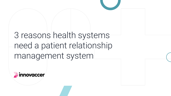# 3 reasons health systems need a patient relationship management system

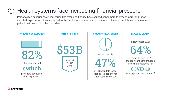#### Health systems face increasing financial pressure 1

Personalized experiences in industries like retail and finance have caused consumers to expect more, and those elevated expectations have extended to the healthcare relationship experience. If these expectations remain unmet, patients will switch to other providers.



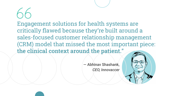Engagement solutions for health systems are critically flawed because they're built around a sales-focused customer relationship management (CRM) model that missed the most important piece: the clinical context around the patient."

> — Abhinav Shashank, *CEO, Innovaccer*

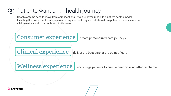#### Patients want a 1:1 health journey  $2\overline{)}$

Health systems need to move from a transactional, revenue-driven model to a patient-centric model. Elevating the overall healthcare experience requires health systems to transform patient experience across all dimensions and work on three priority areas:





# Wellness experience | encourage patients to pursue healthy living after discharge



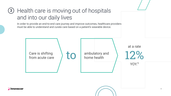# 3) Health care is moving out of hospitals and into our daily lives

In order to provide an end-to-end care journey and improve outcomes, healthcare providers must be able to understand and curate care based on a patient's wearable device.

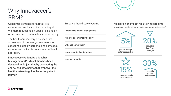## Why Innovaccer's PRM?

Consumer demands for a retail-like experience—such as online shopping at Walmart, requesting an Uber, or placing an Amazon order—continue to increase rapidly.

The healthcare industry also sees that acceleration in demand; consumers are expecting a deeply personal and contextual experience, distinct from a one-size-fits-all approach.

Innovaccer's Patient Relationship Management (PRM) solution has been designed to do just that by connecting the end-to-end data points that empower the health system to guide the entire patient journey.

Empower healthcare systems Personalize patient engagement Achieve operational efficiency Enhance care quality Improve patient satisfaction Increase retention

Measure high-impact results in record time Innovaccer customers are realizing greater outcomes.<sup>6</sup>



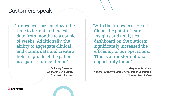### Customers speak

"Innovaccer has cut down the time to format and ingest data from months to a couple of weeks. Additionally, the ability to aggregate clinical and claims data and create a holistic profile of the patient is a game-changer for us."

> — Dr. Henry Sakowski, *Chief Marketing Officer, CHI Health Partners*

"With the Innovaccer Health Cloud, the point-of-care insights and analytics dashboard on the platform significantly increased the efficiency of our operations. This is a transformational opportunity for us."

— Mary Ann Sessions, *National Executive Director of Member Operations, Steward Health Care*

**innovaccer**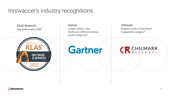### Innovaccer's industry recognitions

KLAS Research high-performance CRM<sup>7</sup>



Gartner sample vendor in the Healthcare CRM and Contact Center categories<sup>8</sup>

**Gartner** 

Chilmark Flagship vendor in the patient engagement category<sup>9</sup>